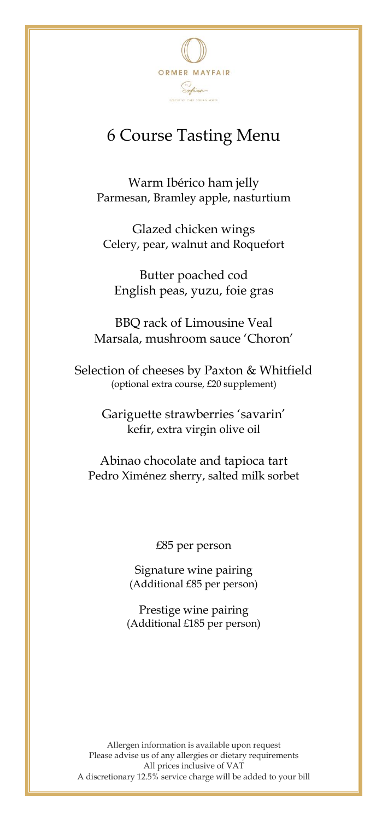

## 6 Course Tasting Menu

Warm Ibérico ham jelly Parmesan, Bramley apple, nasturtium

Glazed chicken wings Celery, pear, walnut and Roquefort

Butter poached cod English peas, yuzu, foie gras

BBQ rack of Limousine Veal Marsala, mushroom sauce 'Choron'

Selection of cheeses by Paxton & Whitfield (optional extra course, £20 supplement)

> Gariguette strawberries 'savarin' kefir, extra virgin olive oil

Abinao chocolate and tapioca tart Pedro Ximénez sherry, salted milk sorbet

£85 per person

Signature wine pairing (Additional £85 per person)

Prestige wine pairing (Additional £185 per person)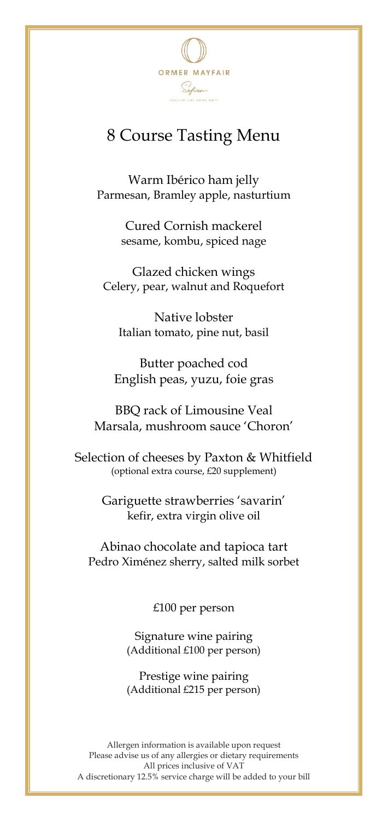

## 8 Course Tasting Menu

Warm Ibérico ham jelly Parmesan, Bramley apple, nasturtium

> Cured Cornish mackerel sesame, kombu, spiced nage

Glazed chicken wings Celery, pear, walnut and Roquefort

Native lobster Italian tomato, pine nut, basil

Butter poached cod English peas, yuzu, foie gras

BBQ rack of Limousine Veal Marsala, mushroom sauce 'Choron'

Selection of cheeses by Paxton & Whitfield (optional extra course, £20 supplement)

> Gariguette strawberries 'savarin' kefir, extra virgin olive oil

Abinao chocolate and tapioca tart Pedro Ximénez sherry, salted milk sorbet

£100 per person

Signature wine pairing (Additional £100 per person)

Prestige wine pairing (Additional £215 per person)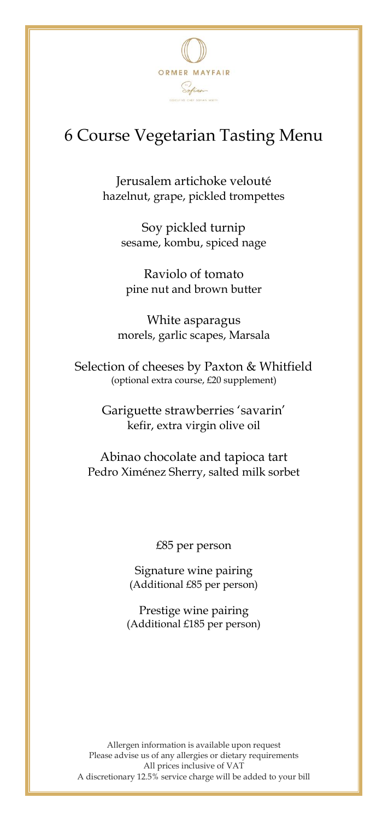

## 6 Course Vegetarian Tasting Menu

Jerusalem artichoke velouté hazelnut, grape, pickled trompettes

Soy pickled turnip sesame, kombu, spiced nage

Raviolo of tomato pine nut and brown butter

White asparagus morels, garlic scapes, Marsala

Selection of cheeses by Paxton & Whitfield (optional extra course, £20 supplement)

> Gariguette strawberries 'savarin' kefir, extra virgin olive oil

Abinao chocolate and tapioca tart Pedro Ximénez Sherry, salted milk sorbet

£85 per person

Signature wine pairing (Additional £85 per person)

Prestige wine pairing (Additional £185 per person)